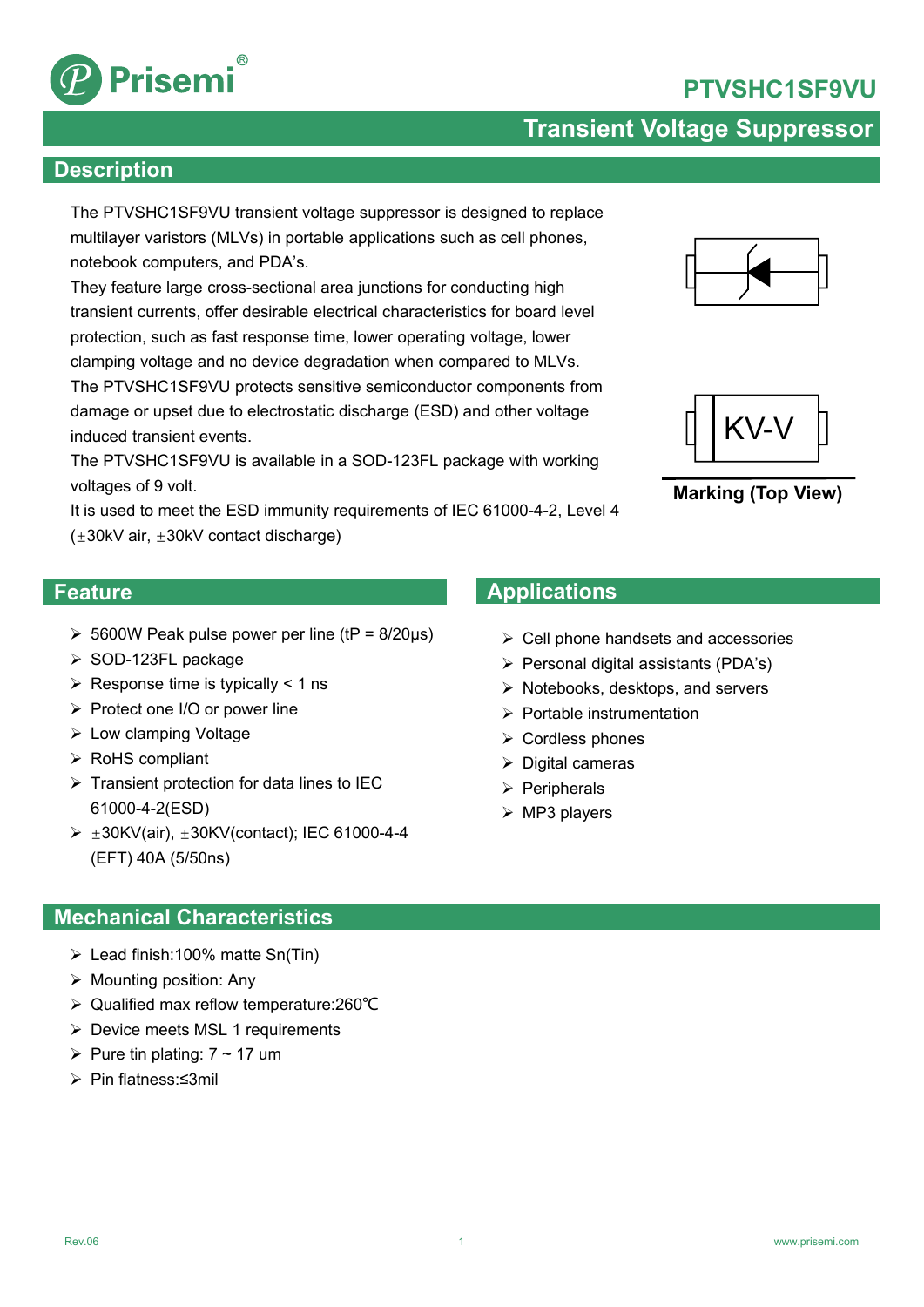# **PTVSHC1SF9VU**



## **Transient Voltage Suppressor**

#### **Description**

The PTVSHC1SF9VU transient voltage suppressor is designed to replace multilayer varistors (MLVs) in portable applications such as cell phones, notebook computers, and PDA's.

They feature large cross-sectional area junctions for conducting high transient currents, offer desirable electrical characteristics for board level protection, such as fast response time, lower operating voltage, lower clamping voltage and no device degradation when compared to MLVs. The PTVSHC1SF9VU protects sensitive semiconductor components from damage or upset due to electrostatic discharge (ESD) and other voltage induced transient events.

The PTVSHC1SF9VU is available in a SOD-123FL package with working voltages of 9 volt.

It is used to meet the ESD immunity requirements of IEC 61000-4-2, Level 4  $(\pm 30kV \text{ air}, \pm 30kV \text{ contact discharge})$ 

#### **Feature**

- $\geq 5600W$  Peak pulse power per line (tP = 8/20µs)
- $\triangleright$  SOD-123FL package
- $\triangleright$  Response time is typically < 1 ns
- $\triangleright$  Protect one I/O or power line
- $\triangleright$  Low clamping Voltage
- $\triangleright$  RoHS compliant
- $\triangleright$  Transient protection for data lines to IEC 61000-4-2(ESD)
- ±30KV(air), ±30KV(contact); IEC 61000-4-4 (EFT) 40A (5/50ns)

### **Mechanical Characteristics**

- $\triangleright$  Lead finish: 100% matte Sn(Tin)
- $\triangleright$  Mounting position: Any
- Qualified max reflow temperature:260℃
- ▶ Device meets MSL 1 requirements
- Pure tin plating:  $7 \sim 17$  um
- Pin flatness:≤3mil

## **Applications**

- $\triangleright$  Cell phone handsets and accessories
- $\triangleright$  Personal digital assistants (PDA's)
- $\triangleright$  Notebooks, desktops, and servers
- $\triangleright$  Portable instrumentation
- $\triangleright$  Cordless phones
- $\triangleright$  Digital cameras
- $\triangleright$  Peripherals
- $\triangleright$  MP3 players

1





**Marking (Top View)**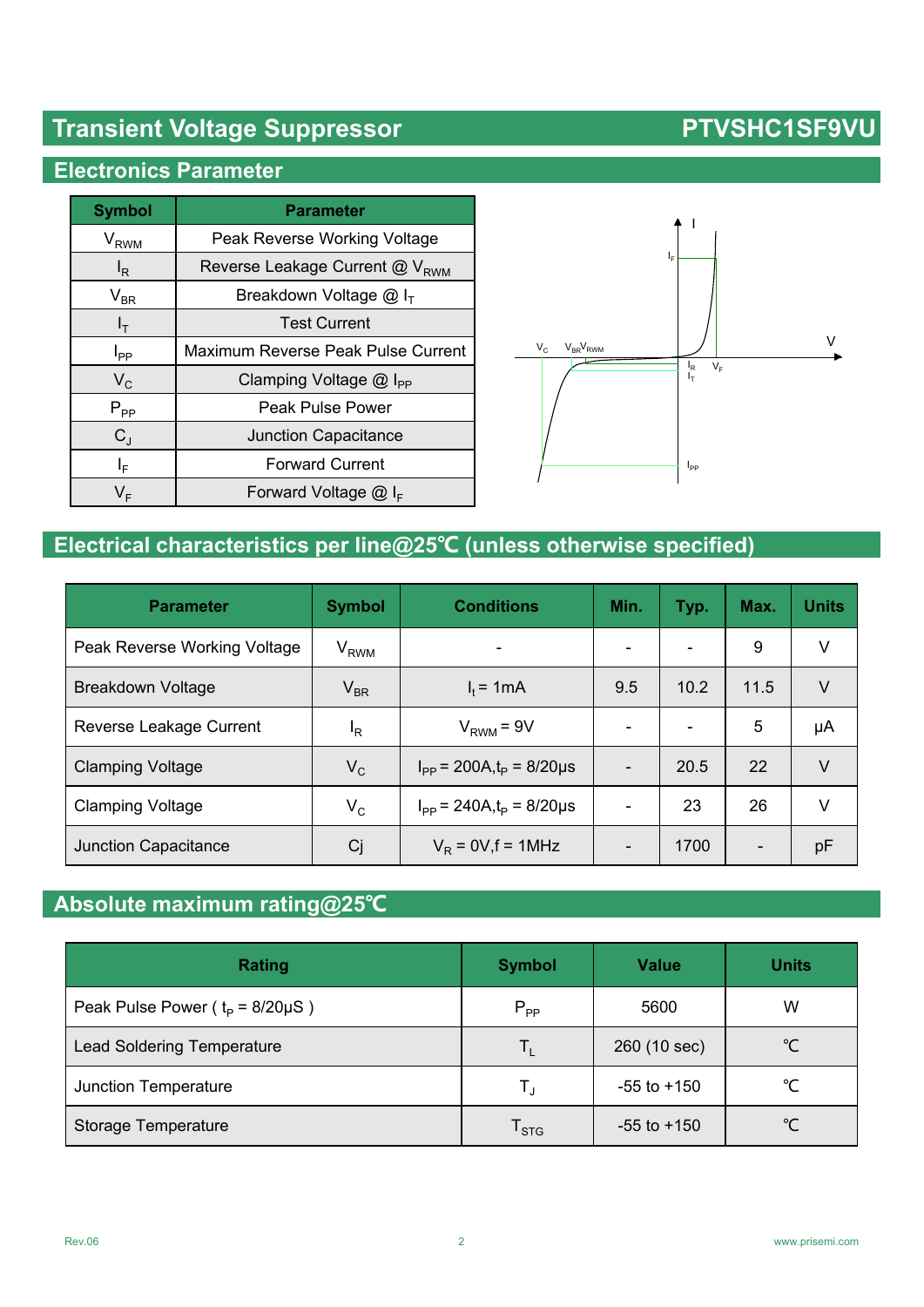# **Transient Voltage Suppressor No. 2018 1998 1999 PTVSHC1SF9VU**

## **Electronics Parameter**

| <b>Symbol</b>     | <b>Parameter</b>                           |  |  |
|-------------------|--------------------------------------------|--|--|
| $V_{RWM}$         | Peak Reverse Working Voltage               |  |  |
| l <sub>R</sub>    | Reverse Leakage Current @ V <sub>RWM</sub> |  |  |
| $\rm V_{BR}$      | Breakdown Voltage $@I_{\tau}$              |  |  |
| $I_T$             | <b>Test Current</b>                        |  |  |
| $I_{\mathsf{PP}}$ | Maximum Reverse Peak Pulse Current         |  |  |
| $V_C$             | Clamping Voltage $@$ I <sub>PP</sub>       |  |  |
| $P_{PP}$          | Peak Pulse Power                           |  |  |
| $C_{.1}$          | <b>Junction Capacitance</b>                |  |  |
| ΙF                | <b>Forward Current</b>                     |  |  |
| V⊧                | Forward Voltage $@I_{F}$                   |  |  |



# **Electrical characteristics per line@25℃ (unless otherwise specified)**

| <b>Parameter</b>             | <b>Symbol</b>              | <b>Conditions</b>                 | Min.                     | Typ. | Max.                     | <b>Units</b> |
|------------------------------|----------------------------|-----------------------------------|--------------------------|------|--------------------------|--------------|
| Peak Reverse Working Voltage | $\rm V_{RWM}$              |                                   | $\overline{\phantom{0}}$ |      | 9                        | V            |
| <b>Breakdown Voltage</b>     | $\mathsf{V}_{\mathsf{BR}}$ | $I_t = 1mA$                       | 9.5                      | 10.2 | 11.5                     | V            |
| Reverse Leakage Current      | ΙR                         | $V_{RWM} = 9V$                    |                          |      | 5                        | μA           |
| <b>Clamping Voltage</b>      | $V_C$                      | $I_{PP}$ = 200A, $t_P$ = 8/20µs   |                          | 20.5 | 22                       | $\vee$       |
| <b>Clamping Voltage</b>      | $V_C$                      | $I_{PP}$ = 240A, $t_{P}$ = 8/20µs |                          | 23   | 26                       | V            |
| <b>Junction Capacitance</b>  | Cj                         | $V_R$ = 0V, f = 1MHz              |                          | 1700 | $\overline{\phantom{a}}$ | pF           |

## **Absolute maximum rating@25℃**

| Rating                                  | <b>Symbol</b>               | <b>Value</b>    | <b>Units</b> |
|-----------------------------------------|-----------------------------|-----------------|--------------|
| Peak Pulse Power ( $t_P = 8/20 \mu S$ ) | $P_{PP}$                    | 5600            | W            |
| <b>Lead Soldering Temperature</b>       | Ιı                          | 260 (10 sec)    | °C           |
| Junction Temperature                    | $\mathsf{T}_4$              | $-55$ to $+150$ | °C           |
| Storage Temperature                     | $\mathsf{T}_{\textsf{STG}}$ | $-55$ to $+150$ | °C           |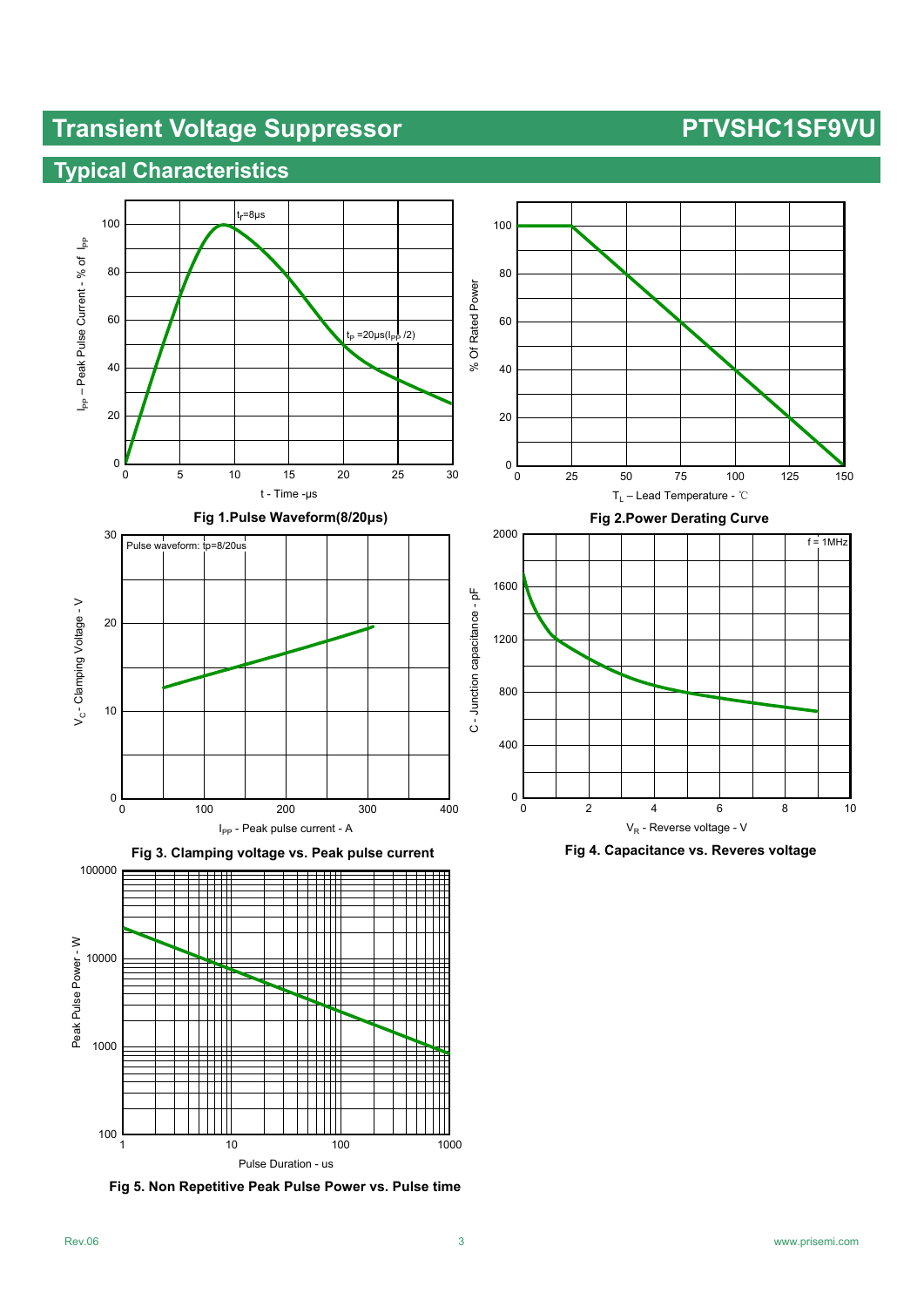# **Transient Voltage Suppressor PTVSHC1SF9VU**

## **Typical Characteristics**







**Fig 5. Non Repetitive Peak Pulse Power vs. Pulse time**





**Fig 4. Capacitance vs. Reveres voltage**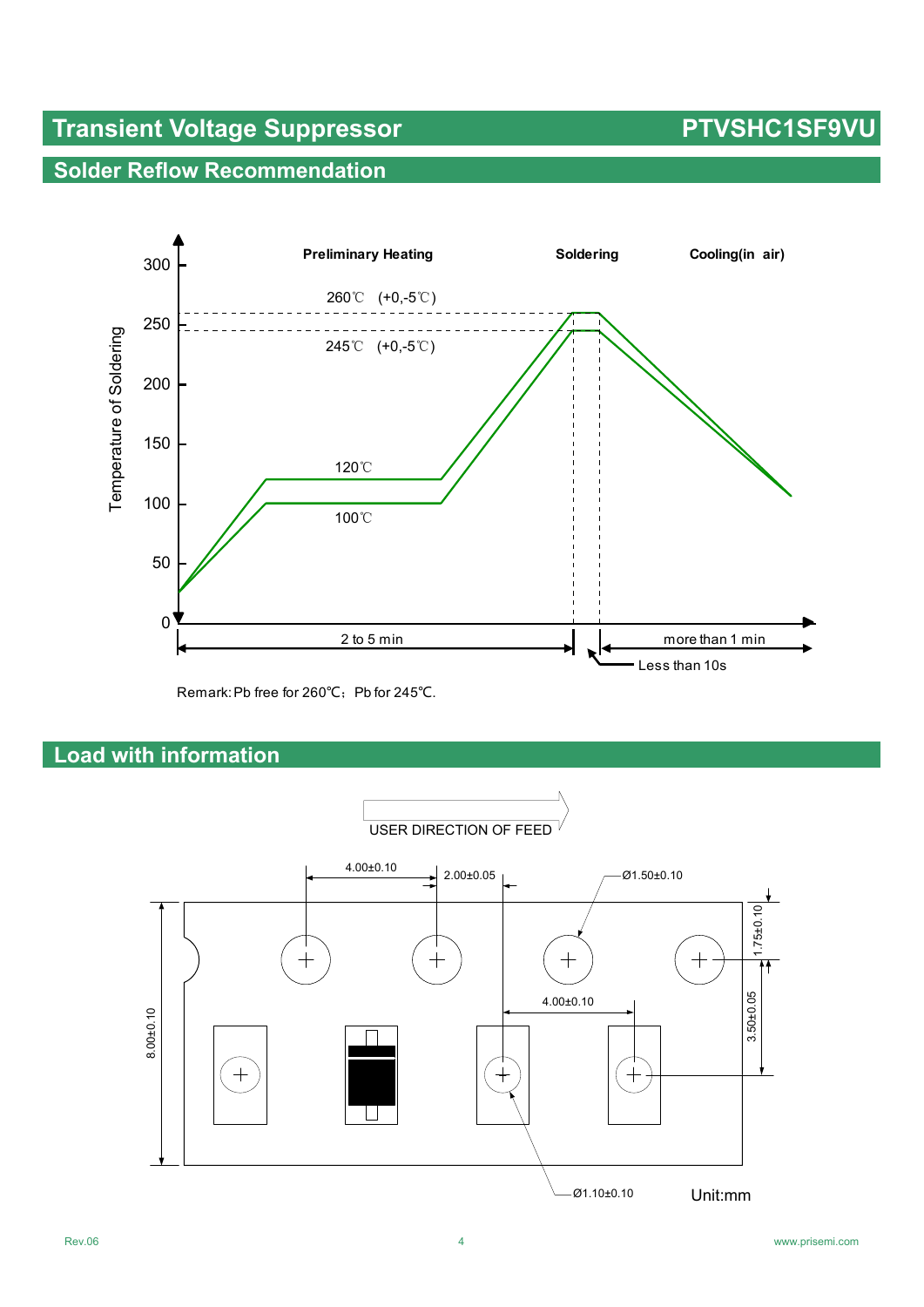# **Transient Voltage Suppressor No. 2018 1998 1999 PTVSHC1SF9VU**

## **Solder Reflow Recommendation**



Remark: Pb free for 260℃; Pb for 245℃.

## **Load with information**

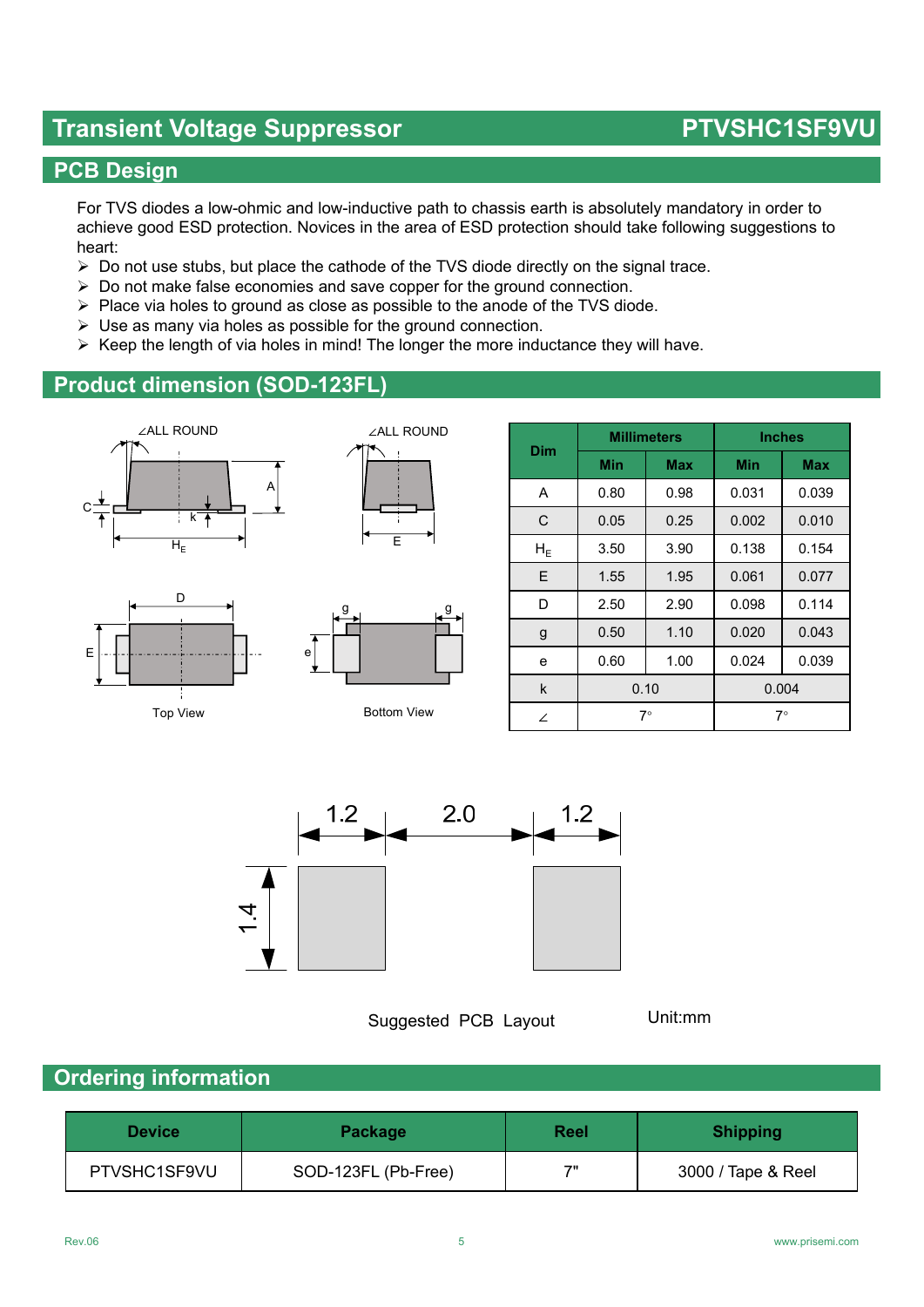## **Transient Voltage Suppressor No. 2018 1998 1999 PTVSHC1SF9VU**

## **PCB Design**

For TVS diodes a low-ohmic and low-inductive path to chassis earth is absolutely mandatory in order to achieve good ESD protection. Novices in the area of ESD protection should take following suggestions to heart:

- $\triangleright$  Do not use stubs, but place the cathode of the TVS diode directly on the signal trace.
- $\triangleright$  Do not make false economies and save copper for the ground connection.
- $\triangleright$  Place via holes to ground as close as possible to the anode of the TVS diode.
- $\triangleright$  Use as many via holes as possible for the ground connection.
- $\triangleright$  Keep the length of via holes in mind! The longer the more inductance they will have.

### **Product dimension (SOD-123FL)**







Top View

E



Bottom View

| Dim               | <b>Millimeters</b> |            | <b>Inches</b> |            |  |
|-------------------|--------------------|------------|---------------|------------|--|
|                   | Min                | <b>Max</b> | Min           | <b>Max</b> |  |
| A                 | 0.80               | 0.98       | 0.031         | 0.039      |  |
| C                 | 0.05               | 0.25       | 0.002         | 0.010      |  |
| ${\sf H}_{\sf E}$ | 3.50               | 3.90       | 0.138         | 0.154      |  |
| E                 | 1.55               | 1.95       | 0.061         | 0.077      |  |
| D                 | 2.50               | 2.90       | 0.098         | 0.114      |  |
| g                 | 0.50               | 1.10       | 0.020         | 0.043      |  |
| e                 | 0.60               | 1.00       | 0.024         | 0.039      |  |
| k                 | 0.10               |            | 0.004         |            |  |
| ∠                 | 7∘                 |            | $7^{\circ}$   |            |  |



Suggested PCB Layout

Unit:mm

### **Ordering information**

| <b>Device</b> | <b>Package</b>      | Reel | <b>Shipping</b>    |
|---------------|---------------------|------|--------------------|
| PTVSHC1SF9VU  | SOD-123FL (Pb-Free) | 7"   | 3000 / Tape & Reel |